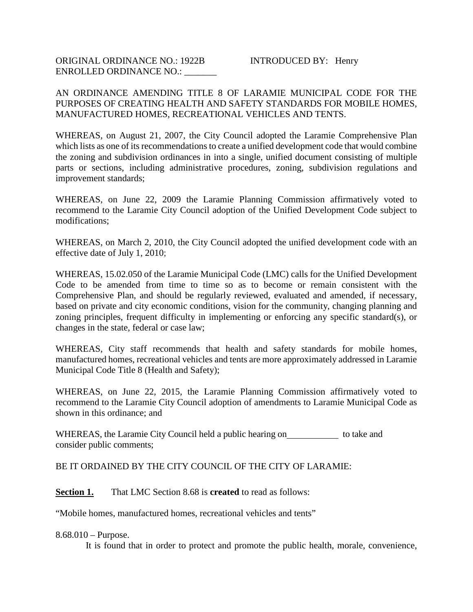## AN ORDINANCE AMENDING TITLE 8 OF LARAMIE MUNICIPAL CODE FOR THE PURPOSES OF CREATING HEALTH AND SAFETY STANDARDS FOR MOBILE HOMES, MANUFACTURED HOMES, RECREATIONAL VEHICLES AND TENTS.

WHEREAS, on August 21, 2007, the City Council adopted the Laramie Comprehensive Plan which lists as one of its recommendations to create a unified development code that would combine the zoning and subdivision ordinances in into a single, unified document consisting of multiple parts or sections, including administrative procedures, zoning, subdivision regulations and improvement standards;

WHEREAS, on June 22, 2009 the Laramie Planning Commission affirmatively voted to recommend to the Laramie City Council adoption of the Unified Development Code subject to modifications;

WHEREAS, on March 2, 2010, the City Council adopted the unified development code with an effective date of July 1, 2010;

WHEREAS, 15.02.050 of the Laramie Municipal Code (LMC) calls for the Unified Development Code to be amended from time to time so as to become or remain consistent with the Comprehensive Plan, and should be regularly reviewed, evaluated and amended, if necessary, based on private and city economic conditions, vision for the community, changing planning and zoning principles, frequent difficulty in implementing or enforcing any specific standard(s), or changes in the state, federal or case law;

WHEREAS, City staff recommends that health and safety standards for mobile homes, manufactured homes, recreational vehicles and tents are more approximately addressed in Laramie Municipal Code Title 8 (Health and Safety);

WHEREAS, on June 22, 2015, the Laramie Planning Commission affirmatively voted to recommend to the Laramie City Council adoption of amendments to Laramie Municipal Code as shown in this ordinance; and

WHEREAS, the Laramie City Council held a public hearing on to take and consider public comments;

BE IT ORDAINED BY THE CITY COUNCIL OF THE CITY OF LARAMIE:

**Section 1.** That LMC Section 8.68 is **created** to read as follows:

"Mobile homes, manufactured homes, recreational vehicles and tents"

8.68.010 – Purpose.

It is found that in order to protect and promote the public health, morale, convenience,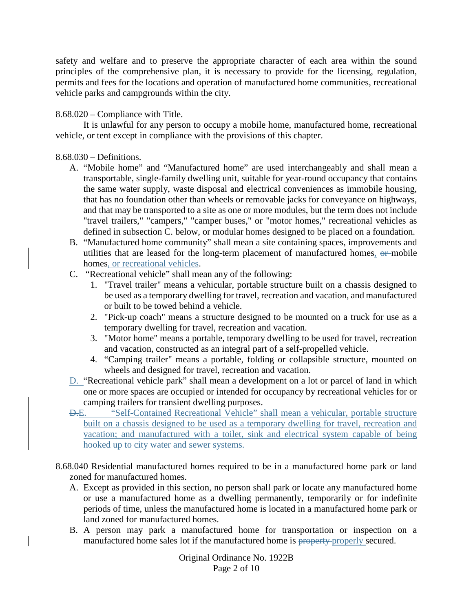safety and welfare and to preserve the appropriate character of each area within the sound principles of the comprehensive plan, it is necessary to provide for the licensing, regulation, permits and fees for the locations and operation of manufactured home communities, recreational vehicle parks and campgrounds within the city.

8.68.020 – Compliance with Title.

It is unlawful for any person to occupy a mobile home, manufactured home, recreational vehicle, or tent except in compliance with the provisions of this chapter.

## 8.68.030 – Definitions.

- A. "Mobile home" and "Manufactured home" are used interchangeably and shall mean a transportable, single-family dwelling unit, suitable for year-round occupancy that contains the same water supply, waste disposal and electrical conveniences as immobile housing, that has no foundation other than wheels or removable jacks for conveyance on highways, and that may be transported to a site as one or more modules, but the term does not include "travel trailers," "campers," "camper buses," or "motor homes," recreational vehicles as defined in subsection C. below, or modular homes designed to be placed on a foundation.
- B. "Manufactured home community" shall mean a site containing spaces, improvements and utilities that are leased for the long-term placement of manufactured homes, or mobile homes, or recreational vehicles.
- C. "Recreational vehicle" shall mean any of the following:
	- 1. "Travel trailer" means a vehicular, portable structure built on a chassis designed to be used as a temporary dwelling for travel, recreation and vacation, and manufactured or built to be towed behind a vehicle.
	- 2. "Pick-up coach" means a structure designed to be mounted on a truck for use as a temporary dwelling for travel, recreation and vacation.
	- 3. "Motor home" means a portable, temporary dwelling to be used for travel, recreation and vacation, constructed as an integral part of a self-propelled vehicle.
	- 4. "Camping trailer" means a portable, folding or collapsible structure, mounted on wheels and designed for travel, recreation and vacation.
- D. "Recreational vehicle park" shall mean a development on a lot or parcel of land in which one or more spaces are occupied or intended for occupancy by recreational vehicles for or camping trailers for transient dwelling purposes.
- D.E. "Self-Contained Recreational Vehicle" shall mean a vehicular, portable structure built on a chassis designed to be used as a temporary dwelling for travel, recreation and vacation; and manufactured with a toilet, sink and electrical system capable of being hooked up to city water and sewer systems.
- 8.68.040 Residential manufactured homes required to be in a manufactured home park or land zoned for manufactured homes.
	- A. Except as provided in this section, no person shall park or locate any manufactured home or use a manufactured home as a dwelling permanently, temporarily or for indefinite periods of time, unless the manufactured home is located in a manufactured home park or land zoned for manufactured homes.
	- B. A person may park a manufactured home for transportation or inspection on a manufactured home sales lot if the manufactured home is property properly secured.

Original Ordinance No. 1922B Page 2 of 10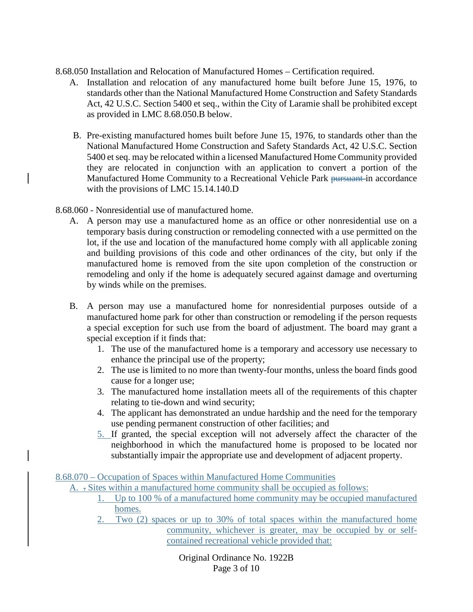8.68.050 Installation and Relocation of Manufactured Homes – Certification required.

- A. Installation and relocation of any manufactured home built before June 15, 1976, to standards other than the National Manufactured Home Construction and Safety Standards Act, 42 U.S.C. Section 5400 et seq., within the City of Laramie shall be prohibited except as provided in LMC 8.68.050.B below.
- B. Pre-existing manufactured homes built before June 15, 1976, to standards other than the National Manufactured Home Construction and Safety Standards Act, 42 U.S.C. Section 5400 et seq. may be relocated within a licensed Manufactured Home Community provided they are relocated in conjunction with an application to convert a portion of the Manufactured Home Community to a Recreational Vehicle Park pursuant in accordance with the provisions of LMC 15.14.140.D
- 8.68.060 Nonresidential use of manufactured home.
	- A. A person may use a manufactured home as an office or other nonresidential use on a temporary basis during construction or remodeling connected with a use permitted on the lot, if the use and location of the manufactured home comply with all applicable zoning and building provisions of this code and other ordinances of the city, but only if the manufactured home is removed from the site upon completion of the construction or remodeling and only if the home is adequately secured against damage and overturning by winds while on the premises.
	- B. A person may use a manufactured home for nonresidential purposes outside of a manufactured home park for other than construction or remodeling if the person requests a special exception for such use from the board of adjustment. The board may grant a special exception if it finds that:
		- 1. The use of the manufactured home is a temporary and accessory use necessary to enhance the principal use of the property;
		- 2. The use is limited to no more than twenty-four months, unless the board finds good cause for a longer use;
		- 3. The manufactured home installation meets all of the requirements of this chapter relating to tie-down and wind security;
		- 4. The applicant has demonstrated an undue hardship and the need for the temporary use pending permanent construction of other facilities; and
		- 5. If granted, the special exception will not adversely affect the character of the neighborhood in which the manufactured home is proposed to be located nor substantially impair the appropriate use and development of adjacent property.

8.68.070 – Occupation of Spaces within Manufactured Home Communities

- A. . Sites within a manufactured home community shall be occupied as follows:
	- 1. Up to 100 % of a manufactured home community may be occupied manufactured homes.
	- 2. Two (2) spaces or up to 30% of total spaces within the manufactured home community, whichever is greater, may be occupied by or selfcontained recreational vehicle provided that:

Original Ordinance No. 1922B Page 3 of 10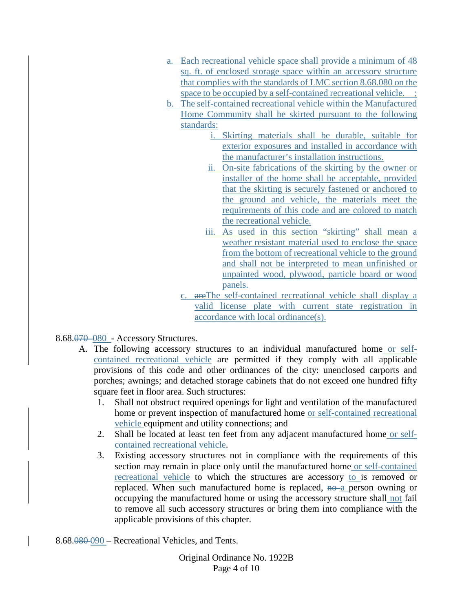- a. Each recreational vehicle space shall provide a minimum of 48 sq. ft. of enclosed storage space within an accessory structure that complies with the standards of LMC section 8.68.080 on the space to be occupied by a self-contained recreational vehicle. ;
- b. The self-contained recreational vehicle within the Manufactured Home Community shall be skirted pursuant to the following standards:
	- i. Skirting materials shall be durable, suitable for exterior exposures and installed in accordance with the manufacturer's installation instructions.
	- ii. On-site fabrications of the skirting by the owner or installer of the home shall be acceptable, provided that the skirting is securely fastened or anchored to the ground and vehicle, the materials meet the requirements of this code and are colored to match the recreational vehicle.
	- iii. As used in this section "skirting" shall mean a weather resistant material used to enclose the space from the bottom of recreational vehicle to the ground and shall not be interpreted to mean unfinished or unpainted wood, plywood, particle board or wood panels.
	- c. areThe self-contained recreational vehicle shall display a valid license plate with current state registration in accordance with local ordinance(s).

8.68.070 080 - Accessory Structures.

- A. The following accessory structures to an individual manufactured home or selfcontained recreational vehicle are permitted if they comply with all applicable provisions of this code and other ordinances of the city: unenclosed carports and porches; awnings; and detached storage cabinets that do not exceed one hundred fifty square feet in floor area. Such structures:
	- 1. Shall not obstruct required openings for light and ventilation of the manufactured home or prevent inspection of manufactured home or self-contained recreational vehicle equipment and utility connections; and
	- 2. Shall be located at least ten feet from any adjacent manufactured home or selfcontained recreational vehicle.
	- 3. Existing accessory structures not in compliance with the requirements of this section may remain in place only until the manufactured home or self-contained recreational vehicle to which the structures are accessory to is removed or replaced. When such manufactured home is replaced,  $n\theta$  a person owning or occupying the manufactured home or using the accessory structure shall not fail to remove all such accessory structures or bring them into compliance with the applicable provisions of this chapter.

8.68.080 090 – Recreational Vehicles, and Tents.

Original Ordinance No. 1922B Page 4 of 10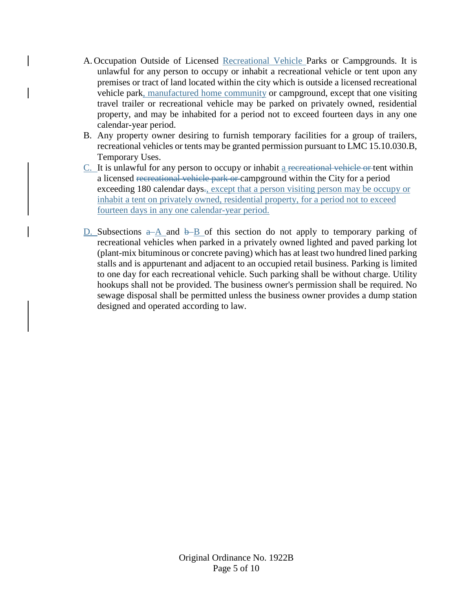- A. Occupation Outside of Licensed Recreational Vehicle Parks or Campgrounds. It is unlawful for any person to occupy or inhabit a recreational vehicle or tent upon any premises or tract of land located within the city which is outside a licensed recreational vehicle park, manufactured home community or campground, except that one visiting travel trailer or recreational vehicle may be parked on privately owned, residential property, and may be inhabited for a period not to exceed fourteen days in any one calendar-year period.
- B. Any property owner desiring to furnish temporary facilities for a group of trailers, recreational vehicles or tents may be granted permission pursuant to LMC 15.10.030.B, Temporary Uses.
- $C<sub>r</sub>$  It is unlawful for any person to occupy or inhabit a recreational vehicle or tent within a licensed recreational vehicle park or campground within the City for a period exceeding 180 calendar days., except that a person visiting person may be occupy or inhabit a tent on privately owned, residential property, for a period not to exceed fourteen days in any one calendar-year period.
- D. Subsections  $a\rightarrow A$  and  $b\rightarrow B$  of this section do not apply to temporary parking of recreational vehicles when parked in a privately owned lighted and paved parking lot (plant-mix bituminous or concrete paving) which has at least two hundred lined parking stalls and is appurtenant and adjacent to an occupied retail business. Parking is limited to one day for each recreational vehicle. Such parking shall be without charge. Utility hookups shall not be provided. The business owner's permission shall be required. No sewage disposal shall be permitted unless the business owner provides a dump station designed and operated according to law.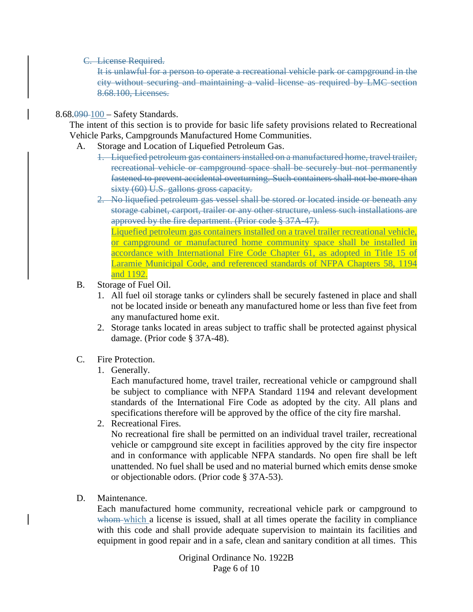C. License Required.

It is unlawful for a person to operate a recreational vehicle park or campground in the city without securing and maintaining a valid license as required by LMC section 8.68.100, Licenses.

8.68.090 100 – Safety Standards.

The intent of this section is to provide for basic life safety provisions related to Recreational Vehicle Parks, Campgrounds Manufactured Home Communities.

- A. Storage and Location of Liquefied Petroleum Gas.
	- 1. Liquefied petroleum gas containers installed on a manufactured home, travel trailer, recreational vehicle or campground space shall be securely but not permanently fastened to prevent accidental overturning. Such containers shall not be more than sixty (60) U.S. gallons gross capacity.
	- 2. No liquefied petroleum gas vessel shall be stored or located inside or beneath any storage cabinet, carport, trailer or any other structure, unless such installations are approved by the fire department. (Prior code § 37A-47).

Liquefied petroleum gas containers installed on a travel trailer recreational vehicle, or campground or manufactured home community space shall be installed in accordance with International Fire Code Chapter 61, as adopted in Title 15 of Laramie Municipal Code, and referenced standards of NFPA Chapters 58, 1194 and 1192.

- B. Storage of Fuel Oil.
	- 1. All fuel oil storage tanks or cylinders shall be securely fastened in place and shall not be located inside or beneath any manufactured home or less than five feet from any manufactured home exit.
	- 2. Storage tanks located in areas subject to traffic shall be protected against physical damage. (Prior code § 37A-48).
- C. Fire Protection.
	- 1. Generally.

Each manufactured home, travel trailer, recreational vehicle or campground shall be subject to compliance with NFPA Standard 1194 and relevant development standards of the International Fire Code as adopted by the city. All plans and specifications therefore will be approved by the office of the city fire marshal.

2. Recreational Fires.

No recreational fire shall be permitted on an individual travel trailer, recreational vehicle or campground site except in facilities approved by the city fire inspector and in conformance with applicable NFPA standards. No open fire shall be left unattended. No fuel shall be used and no material burned which emits dense smoke or objectionable odors. (Prior code § 37A-53).

D. Maintenance.

Each manufactured home community, recreational vehicle park or campground to whom which a license is issued, shall at all times operate the facility in compliance with this code and shall provide adequate supervision to maintain its facilities and equipment in good repair and in a safe, clean and sanitary condition at all times. This

> Original Ordinance No. 1922B Page 6 of 10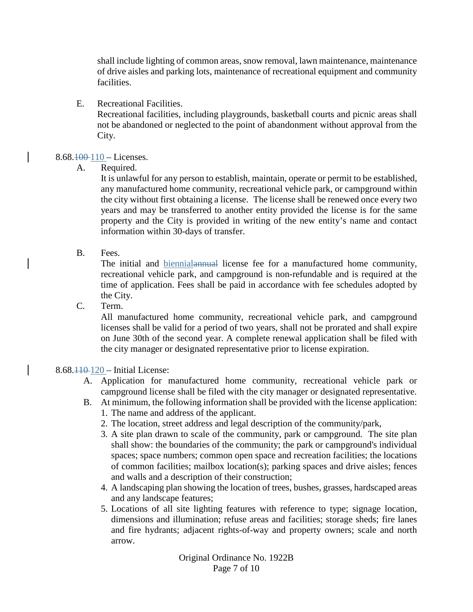shall include lighting of common areas, snow removal, lawn maintenance, maintenance of drive aisles and parking lots, maintenance of recreational equipment and community facilities.

E. Recreational Facilities.

Recreational facilities, including playgrounds, basketball courts and picnic areas shall not be abandoned or neglected to the point of abandonment without approval from the City.

## $8.68.100 - Licenses.$

A. Required.

It is unlawful for any person to establish, maintain, operate or permit to be established, any manufactured home community, recreational vehicle park, or campground within the city without first obtaining a license. The license shall be renewed once every two years and may be transferred to another entity provided the license is for the same property and the City is provided in writing of the new entity's name and contact information within 30-days of transfer.

B. Fees.

The initial and biennialannual license fee for a manufactured home community, recreational vehicle park, and campground is non-refundable and is required at the time of application. Fees shall be paid in accordance with fee schedules adopted by the City.

C. Term.

All manufactured home community, recreational vehicle park, and campground licenses shall be valid for a period of two years, shall not be prorated and shall expire on June 30th of the second year. A complete renewal application shall be filed with the city manager or designated representative prior to license expiration.

### 8.68.110 120 – Initial License:

- A. Application for manufactured home community, recreational vehicle park or campground license shall be filed with the city manager or designated representative.
- B. At minimum, the following information shall be provided with the license application:
	- 1. The name and address of the applicant.
	- 2. The location, street address and legal description of the community/park,
	- 3. A site plan drawn to scale of the community, park or campground. The site plan shall show: the boundaries of the community; the park or campground's individual spaces; space numbers; common open space and recreation facilities; the locations of common facilities; mailbox location(s); parking spaces and drive aisles; fences and walls and a description of their construction;
	- 4. A landscaping plan showing the location of trees, bushes, grasses, hardscaped areas and any landscape features;
	- 5. Locations of all site lighting features with reference to type; signage location, dimensions and illumination; refuse areas and facilities; storage sheds; fire lanes and fire hydrants; adjacent rights-of-way and property owners; scale and north arrow.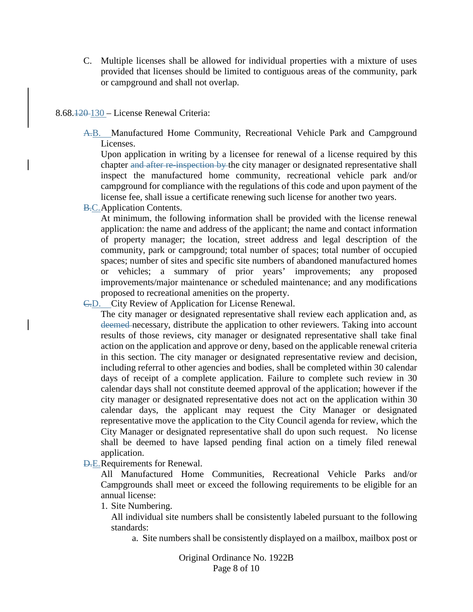C. Multiple licenses shall be allowed for individual properties with a mixture of uses provided that licenses should be limited to contiguous areas of the community, park or campground and shall not overlap.

#### 8.68.120 130 – License Renewal Criteria:

A.B. Manufactured Home Community, Recreational Vehicle Park and Campground Licenses.

Upon application in writing by a licensee for renewal of a license required by this chapter and after re-inspection by the city manager or designated representative shall inspect the manufactured home community, recreational vehicle park and/or campground for compliance with the regulations of this code and upon payment of the license fee, shall issue a certificate renewing such license for another two years.

**B.C.**Application Contents.

At minimum, the following information shall be provided with the license renewal application: the name and address of the applicant; the name and contact information of property manager; the location, street address and legal description of the community, park or campground; total number of spaces; total number of occupied spaces; number of sites and specific site numbers of abandoned manufactured homes or vehicles; a summary of prior years' improvements; any proposed improvements/major maintenance or scheduled maintenance; and any modifications proposed to recreational amenities on the property.

C.D. City Review of Application for License Renewal.

The city manager or designated representative shall review each application and, as deemed necessary, distribute the application to other reviewers. Taking into account results of those reviews, city manager or designated representative shall take final action on the application and approve or deny, based on the applicable renewal criteria in this section. The city manager or designated representative review and decision, including referral to other agencies and bodies, shall be completed within 30 calendar days of receipt of a complete application. Failure to complete such review in 30 calendar days shall not constitute deemed approval of the application; however if the city manager or designated representative does not act on the application within 30 calendar days, the applicant may request the City Manager or designated representative move the application to the City Council agenda for review, which the City Manager or designated representative shall do upon such request. No license shall be deemed to have lapsed pending final action on a timely filed renewal application.

D.E.Requirements for Renewal.

All Manufactured Home Communities, Recreational Vehicle Parks and/or Campgrounds shall meet or exceed the following requirements to be eligible for an annual license:

1. Site Numbering.

All individual site numbers shall be consistently labeled pursuant to the following standards:

a. Site numbers shall be consistently displayed on a mailbox, mailbox post or

Original Ordinance No. 1922B Page 8 of 10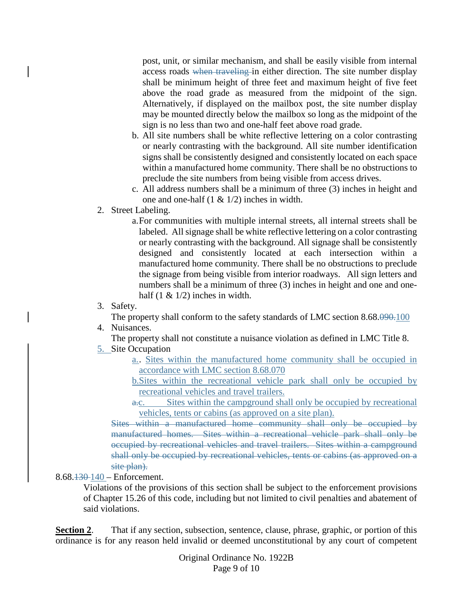post, unit, or similar mechanism, and shall be easily visible from internal access roads when traveling in either direction. The site number display shall be minimum height of three feet and maximum height of five feet above the road grade as measured from the midpoint of the sign. Alternatively, if displayed on the mailbox post, the site number display may be mounted directly below the mailbox so long as the midpoint of the sign is no less than two and one-half feet above road grade.

- b. All site numbers shall be white reflective lettering on a color contrasting or nearly contrasting with the background. All site number identification signs shall be consistently designed and consistently located on each space within a manufactured home community. There shall be no obstructions to preclude the site numbers from being visible from access drives.
- c. All address numbers shall be a minimum of three (3) inches in height and one and one-half  $(1 \& 1/2)$  inches in width.
- 2. Street Labeling.
	- a.For communities with multiple internal streets, all internal streets shall be labeled. All signage shall be white reflective lettering on a color contrasting or nearly contrasting with the background. All signage shall be consistently designed and consistently located at each intersection within a manufactured home community. There shall be no obstructions to preclude the signage from being visible from interior roadways. All sign letters and numbers shall be a minimum of three (3) inches in height and one and onehalf  $(1 \& 1/2)$  inches in width.
- 3. Safety.

The property shall conform to the safety standards of LMC section 8.68.090.100 4. Nuisances.

The property shall not constitute a nuisance violation as defined in LMC Title 8.

# 5. Site Occupation

- a.. Sites within the manufactured home community shall be occupied in accordance with LMC section 8.68.070
- b.Sites within the recreational vehicle park shall only be occupied by recreational vehicles and travel trailers.
- a.c. Sites within the campground shall only be occupied by recreational vehicles, tents or cabins (as approved on a site plan).

Sites within a manufactured home community shall only be occupied by manufactured homes. Sites within a recreational vehicle park shall only be occupied by recreational vehicles and travel trailers. Sites within a campground shall only be occupied by recreational vehicles, tents or cabins (as approved on a site plan).

# 8.68.130 140 – Enforcement.

Violations of the provisions of this section shall be subject to the enforcement provisions of Chapter 15.26 of this code, including but not limited to civil penalties and abatement of said violations.

**Section 2.** That if any section, subsection, sentence, clause, phrase, graphic, or portion of this ordinance is for any reason held invalid or deemed unconstitutional by any court of competent

> Original Ordinance No. 1922B Page 9 of 10